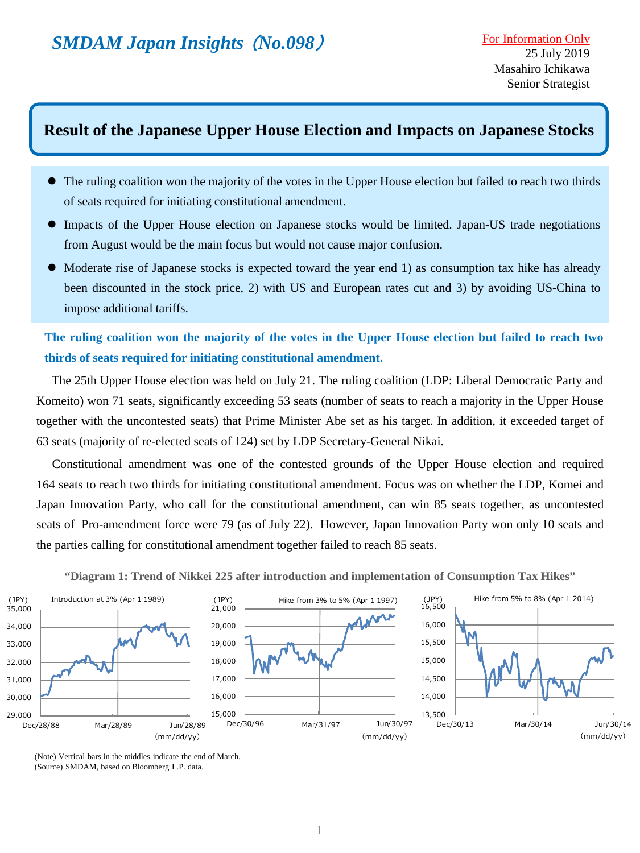# **Result of the Japanese Upper House Election and Impacts on Japanese Stocks**

- The ruling coalition won the majority of the votes in the Upper House election but failed to reach two thirds of seats required for initiating constitutional amendment.
- Impacts of the Upper House election on Japanese stocks would be limited. Japan-US trade negotiations from August would be the main focus but would not cause major confusion.
- Moderate rise of Japanese stocks is expected toward the year end 1) as consumption tax hike has already been discounted in the stock price, 2) with US and European rates cut and 3) by avoiding US-China to impose additional tariffs.

The ruling coalition won the majority of the votes in the Upper House election but failed to reach two **thirds of seats required for initiating constitutional amendment.**

 The 25th Upper House election was held on July 21. The ruling coalition (LDP: Liberal Democratic Party and Komeito) won 71 seats, significantly exceeding 53 seats (number of seats to reach a majority in the Upper House together with the uncontested seats) that Prime Minister Abe set as his target. In addition, it exceeded target of 63 seats (majority of re-elected seats of 124) set by LDP Secretary-General Nikai.

 Constitutional amendment was one of the contested grounds of the Upper House election and required 164 seats to reach two thirds for initiating constitutional amendment. Focus was on whether the LDP, Komei and Japan Innovation Party, who call for the constitutional amendment, can win 85 seats together, as uncontested seats of Pro-amendment force were 79 (as of July 22). However, Japan Innovation Party won only 10 seats and the parties calling for constitutional amendment together failed to reach 85 seats.

**"Diagram 1: Trend of Nikkei 225 after introduction and implementation of Consumption Tax Hikes"**



(Note) Vertical bars in the middles indicate the end of March. (Source) SMDAM, based on Bloomberg L.P. data.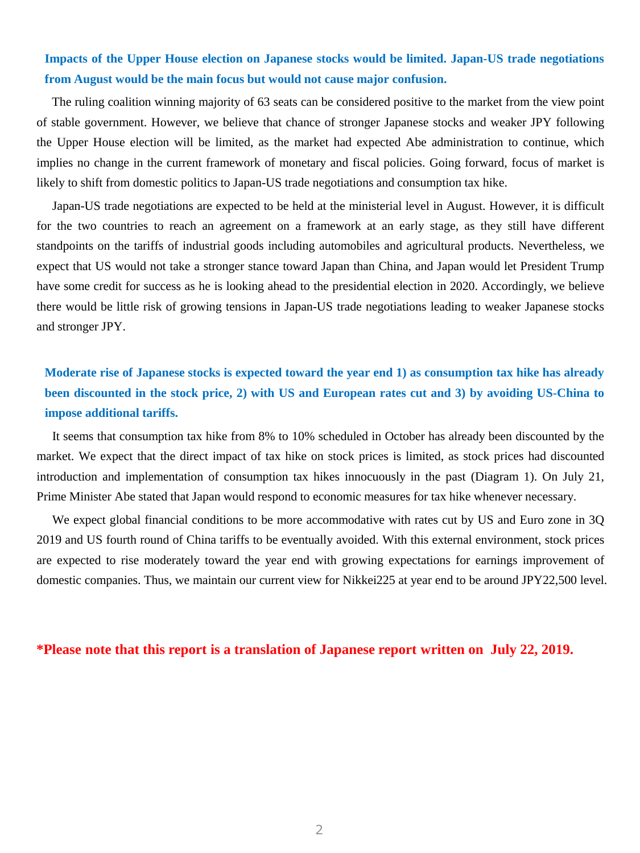## **Impacts of the Upper House election on Japanese stocks would be limited. Japan-US trade negotiations from August would be the main focus but would not cause major confusion.**

 The ruling coalition winning majority of 63 seats can be considered positive to the market from the view point of stable government. However, we believe that chance of stronger Japanese stocks and weaker JPY following the Upper House election will be limited, as the market had expected Abe administration to continue, which implies no change in the current framework of monetary and fiscal policies. Going forward, focus of market is likely to shift from domestic politics to Japan-US trade negotiations and consumption tax hike.

 Japan-US trade negotiations are expected to be held at the ministerial level in August. However, it is difficult for the two countries to reach an agreement on a framework at an early stage, as they still have different standpoints on the tariffs of industrial goods including automobiles and agricultural products. Nevertheless, we expect that US would not take a stronger stance toward Japan than China, and Japan would let President Trump have some credit for success as he is looking ahead to the presidential election in 2020. Accordingly, we believe there would be little risk of growing tensions in Japan-US trade negotiations leading to weaker Japanese stocks and stronger JPY.

## Moderate rise of Japanese stocks is expected toward the year end 1) as consumption tax hike has already been discounted in the stock price, 2) with US and European rates cut and 3) by avoiding US-China to **impose additional tariffs.**

 It seems that consumption tax hike from 8% to 10% scheduled in October has already been discounted by the market. We expect that the direct impact of tax hike on stock prices is limited, as stock prices had discounted introduction and implementation of consumption tax hikes innocuously in the past (Diagram 1). On July 21, Prime Minister Abe stated that Japan would respond to economic measures for tax hike whenever necessary.

 We expect global financial conditions to be more accommodative with rates cut by US and Euro zone in 3Q 2019 and US fourth round of China tariffs to be eventually avoided. With this external environment, stock prices are expected to rise moderately toward the year end with growing expectations for earnings improvement of domestic companies. Thus, we maintain our current view for Nikkei225 at year end to be around JPY22,500 level.

#### **\*Please note that this report is a translation of Japanese report written on July 22, 2019.**